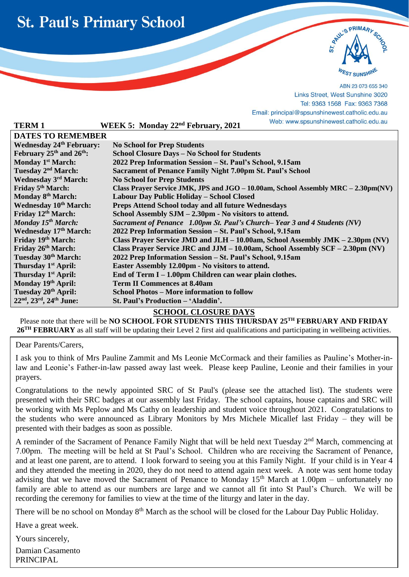

l



ABN 23 073 655 340 Links Street, West Sunshine 3020 Tel: 9363 1568 Fax: 9363 7368 Email: principal@spsunshinewest.catholic.edu.au hinewest.catholic.edu.au

|                                                              |                                                                                   | Lindii. principal® spearierinic west.catholic.cud.au                              |  |
|--------------------------------------------------------------|-----------------------------------------------------------------------------------|-----------------------------------------------------------------------------------|--|
| <b>TERM1</b>                                                 | WEEK 5: Monday 22 <sup>nd</sup> February, 2021                                    | Web: www.spsunshinewest.catholic.edu.au                                           |  |
| <b>DATES TO REMEMBER</b>                                     |                                                                                   |                                                                                   |  |
| <b>Wednesday 24th February:</b>                              | <b>No School for Prep Students</b>                                                |                                                                                   |  |
| February $25th$ and $26th$ :                                 | School Closure Days - No School for Students                                      |                                                                                   |  |
| <b>Monday 1st March:</b>                                     | 2022 Prep Information Session - St. Paul's School, 9.15am                         |                                                                                   |  |
| Tuesday 2 <sup>nd</sup> March:                               | <b>Sacrament of Penance Family Night 7.00pm St. Paul's School</b>                 |                                                                                   |  |
| <b>Wednesday 3rd March:</b>                                  | <b>No School for Prep Students</b>                                                |                                                                                   |  |
| Friday 5 <sup>th</sup> March:                                | Class Prayer Service JMK, JPS and JGO - 10.00am, School Assembly MRC - 2.30pm(NV) |                                                                                   |  |
| Monday 8 <sup>th</sup> March:                                | Labour Day Public Holiday - School Closed                                         |                                                                                   |  |
| <b>Wednesday 10th March:</b>                                 | <b>Preps Attend School today and all future Wednesdays</b>                        |                                                                                   |  |
| Friday 12th March:                                           | School Assembly SJM – 2.30pm - No visitors to attend.                             |                                                                                   |  |
| Monday $15^{th}$ March:                                      | Sacrament of Penance 1.00pm St. Paul's Church–Year 3 and 4 Students (NV)          |                                                                                   |  |
| <b>Wednesday 17th March:</b>                                 | 2022 Prep Information Session - St. Paul's School, 9.15am                         |                                                                                   |  |
| Friday 19th March:                                           |                                                                                   | Class Prayer Service JMD and JLH – 10.00am, School Assembly JMK – 2.30pm (NV)     |  |
| Friday 26 <sup>th</sup> March:                               |                                                                                   | Class Prayer Service JRC and JJM $-10.00$ am, School Assembly SCF $-2.30$ pm (NV) |  |
| Tuesday 30th March:                                          | 2022 Prep Information Session - St. Paul's School, 9.15am                         |                                                                                   |  |
| Thursday 1 <sup>st</sup> April:                              | Easter Assembly 12.00pm - No visitors to attend.                                  |                                                                                   |  |
| Thursday 1 <sup>st</sup> April:                              | End of Term I – 1.00pm Children can wear plain clothes.                           |                                                                                   |  |
| Monday 19th April:                                           | <b>Term II Commences at 8.40am</b>                                                |                                                                                   |  |
| Tuesday 20 <sup>th</sup> April:                              | <b>School Photos - More information to follow</b>                                 |                                                                                   |  |
| 22 <sup>nd</sup> , 23 <sup>rd</sup> , 24 <sup>th</sup> June: | St. Paul's Production - 'Aladdin'.                                                |                                                                                   |  |

## **SCHOOL CLOSURE DAYS**

Please note that there will be **NO SCHOOL FOR STUDENTS THIS THURSDAY 25TH FEBRUARY AND FRIDAY 26TH FEBRUARY** as all staff will be updating their Level 2 first aid qualifications and participating in wellbeing activities.

Dear Parents/Carers,

I ask you to think of Mrs Pauline Zammit and Ms Leonie McCormack and their families as Pauline's Mother-inlaw and Leonie's Father-in-law passed away last week. Please keep Pauline, Leonie and their families in your prayers.

Congratulations to the newly appointed SRC of St Paul's (please see the attached list). The students were presented with their SRC badges at our assembly last Friday. The school captains, house captains and SRC will be working with Ms Peplow and Ms Cathy on leadership and student voice throughout 2021. Congratulations to the students who were announced as Library Monitors by Mrs Michele Micallef last Friday – they will be presented with their badges as soon as possible.

A reminder of the Sacrament of Penance Family Night that will be held next Tuesday 2<sup>nd</sup> March, commencing at 7.00pm. The meeting will be held at St Paul's School. Children who are receiving the Sacrament of Penance, and at least one parent, are to attend. I look forward to seeing you at this Family Night. If your child is in Year 4 and they attended the meeting in 2020, they do not need to attend again next week. A note was sent home today advising that we have moved the Sacrament of Penance to Monday  $15<sup>th</sup>$  March at 1.00pm – unfortunately no family are able to attend as our numbers are large and we cannot all fit into St Paul's Church. We will be recording the ceremony for families to view at the time of the liturgy and later in the day.

There will be no school on Monday 8<sup>th</sup> March as the school will be closed for the Labour Day Public Holiday.

Have a great week.

Yours sincerely,

Damian Casamento PRINCIPAL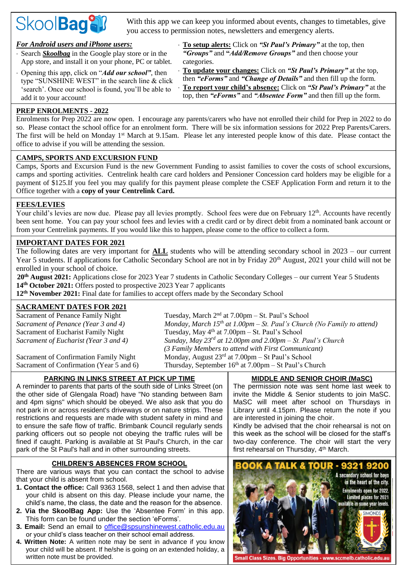

With this app we can keep you informed about events, changes to timetables, give you access to permission notes, newsletters and emergency alerts.

## *For Android users and iPhone users:*

- Search *Skoolbag* in the Google play store or in the App store, and install it on your phone, PC or tablet.
- Opening this app, click on "*Add our school"*, then type "SUNSHINE WEST" in the search line & click 'search'. Once our school is found, you'll be able to add it to your account!

 **To setup alerts:** Click on *"St Paul's Primary"* at the top, then *"Groups"* and **"***Add/Remove Groups"* and then choose your categories.

 **To update your changes:** Click on *"St Paul's Primary"* at the top, then *"eForms"* and *"Change of Details"* and then fill up the form. **To report your child's absence:** Click on *"St Paul's Primary"* at the top, then *"eForms"* and *"Absentee Form"* and then fill up the form.

## **PREP ENROLMENTS - 2022**

Enrolments for Prep 2022 are now open. I encourage any parents/carers who have not enrolled their child for Prep in 2022 to do so. Please contact the school office for an enrolment form. There will be six information sessions for 2022 Prep Parents/Carers. The first will be held on Monday 1<sup>st</sup> March at 9.15am. Please let any interested people know of this date. Please contact the office to advise if you will be attending the session.

### **CAMPS, SPORTS AND EXCURSION FUND**

Camps, Sports and Excursion Fund is the new Government Funding to assist families to cover the costs of school excursions, camps and sporting activities. Centrelink health care card holders and Pensioner Concession card holders may be eligible for a payment of \$125.If you feel you may qualify for this payment please complete the CSEF Application Form and return it to the Office together with a **copy of your Centrelink Card.**

## **FEES/LEVIES**

Your child's levies are now due. Please pay all levies promptly. School fees were due on February 12<sup>th</sup>. Accounts have recently been sent home. You can pay your school fees and levies with a credit card or by direct debit from a nominated bank account or from your Centrelink payments. If you would like this to happen, please come to the office to collect a form.

## **IMPORTANT DATES FOR 2021**

The following dates are very important for **ALL** students who will be attending secondary school in 2023 – our current Year 5 students. If applications for Catholic Secondary School are not in by Friday 20<sup>th</sup> August, 2021 your child will not be enrolled in your school of choice.

**20th August 2021:** Applications close for 2023 Year 7 students in Catholic Secondary Colleges – our current Year 5 Students **14th October 2021:** Offers posted to prospective 2023 Year 7 applicants

**12th November 2021:** Final date for families to accept offers made by the Secondary School

### **SACRAMENT DATES FOR 2021**

*Sacrament of Penance (Year 3 and 4) Monday, March 15*

Sacrament of Penance Family Night Tuesday, March 2<sup>nd</sup> at 7.00pm – St. Paul's School *th at 1.00pm – St. Paul's Church (No Family to attend)* Sacrament of Eucharist Family Night Tuesday, May 4<sup>th</sup> at 7.00pm – St. Paul's School *Sacrament of Eucharist (Year 3 and 4) Sunday, May 23rd at 12.00pm and 2.00pm – St. Paul's Church (3 Family Members to attend with First Communicant)* Sacrament of Confirmation Family Night Monday, August  $23<sup>rd</sup>$  at 7.00pm – St Paul's School Sacrament of Confirmation (Year 5 and 6) Thursday, September  $16<sup>th</sup>$  at  $7.00 \text{pm} - \text{St Paul's Church}$ 

## **PARKING IN LINKS STREET AT PICK UP TIME**

A reminder to parents that parts of the south side of Links Street (on the other side of Glengala Road) have "No standing between 8am and 4pm signs" which should be obeyed. We also ask that you do not park in or across resident's driveways or on nature strips. These restrictions and requests are made with student safety in mind and to ensure the safe flow of traffic. Brimbank Council regularly sends parking officers out so people not obeying the traffic rules will be fined if caught. Parking is available at St Paul's Church, in the car park of the St Paul's hall and in other surrounding streets.

### **CHILDREN'S ABSENCES FROM SCHOOL**

There are various ways that you can contact the school to advise that your child is absent from school.

- **1. Contact the office:** Call 9363 1568, select 1 and then advise that your child is absent on this day. Please include your name, the child's name, the class, the date and the reason for the absence.
- **2. Via the SkoolBag App:** Use the 'Absentee Form' in this app. This form can be found under the section 'eForms'.
- **3. Email:** Send an email to [office@spsunshinewest.catholic.edu.au](mailto:office@spsunshinewest.catholic.edu.au) or your child's class teacher on their school email address.
- **4. Written Note:** A written note may be sent in advance if you know your child will be absent. If he/she is going on an extended holiday, a written note must be provided.

### **MIDDLE AND SENIOR CHOIR (MaSC)**

The permission note was sent home last week to invite the Middle & Senior students to join MaSC. MaSC will meet after school on Thursdays in Library until 4.15pm. Please return the note if you are interested in joining the choir.

Kindly be advised that the choir rehearsal is not on this week as the school will be closed for the staff's two-day conference. The choir will start the very first rehearsal on Thursday, 4<sup>th</sup> March.